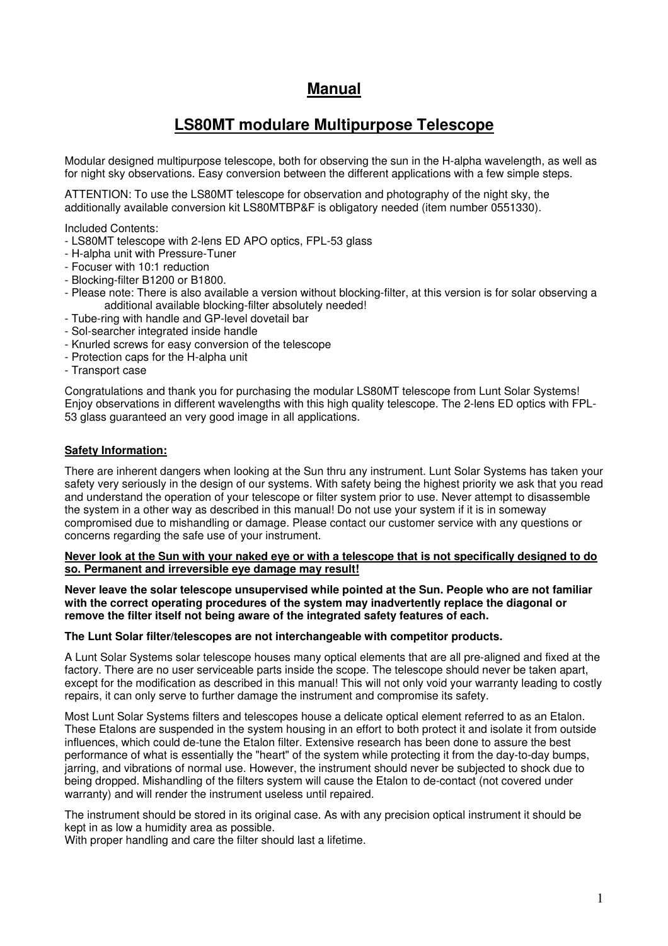# **Manual**

# **LS80MT modulare Multipurpose Telescope**

Modular designed multipurpose telescope, both for observing the sun in the H-alpha wavelength, as well as for night sky observations. Easy conversion between the different applications with a few simple steps.

ATTENTION: To use the LS80MT telescope for observation and photography of the night sky, the additionally available conversion kit LS80MTBP&F is obligatory needed (item number 0551330).

Included Contents:

- LS80MT telescope with 2-lens ED APO optics, FPL-53 glass
- H-alpha unit with Pressure-Tuner
- Focuser with 10:1 reduction
- Blocking-filter B1200 or B1800.
- Please note: There is also available a version without blocking-filter, at this version is for solar observing a additional available blocking-filter absolutely needed!
- Tube-ring with handle and GP-level dovetail bar
- Sol-searcher integrated inside handle
- Knurled screws for easy conversion of the telescope
- Protection caps for the H-alpha unit
- Transport case

Congratulations and thank you for purchasing the modular LS80MT telescope from Lunt Solar Systems! Enjoy observations in different wavelengths with this high quality telescope. The 2-lens ED optics with FPL-53 glass guaranteed an very good image in all applications.

#### **Safety Information:**

There are inherent dangers when looking at the Sun thru any instrument. Lunt Solar Systems has taken your safety very seriously in the design of our systems. With safety being the highest priority we ask that you read and understand the operation of your telescope or filter system prior to use. Never attempt to disassemble the system in a other way as described in this manual! Do not use your system if it is in someway compromised due to mishandling or damage. Please contact our customer service with any questions or concerns regarding the safe use of your instrument.

#### **Never look at the Sun with your naked eye or with a telescope that is not specifically designed to do so. Permanent and irreversible eye damage may result!**

**Never leave the solar telescope unsupervised while pointed at the Sun. People who are not familiar with the correct operating procedures of the system may inadvertently replace the diagonal or remove the filter itself not being aware of the integrated safety features of each.** 

#### **The Lunt Solar filter/telescopes are not interchangeable with competitor products.**

A Lunt Solar Systems solar telescope houses many optical elements that are all pre-aligned and fixed at the factory. There are no user serviceable parts inside the scope. The telescope should never be taken apart, except for the modification as described in this manual! This will not only void your warranty leading to costly repairs, it can only serve to further damage the instrument and compromise its safety.

Most Lunt Solar Systems filters and telescopes house a delicate optical element referred to as an Etalon. These Etalons are suspended in the system housing in an effort to both protect it and isolate it from outside influences, which could de-tune the Etalon filter. Extensive research has been done to assure the best performance of what is essentially the "heart" of the system while protecting it from the day-to-day bumps, jarring, and vibrations of normal use. However, the instrument should never be subjected to shock due to being dropped. Mishandling of the filters system will cause the Etalon to de-contact (not covered under warranty) and will render the instrument useless until repaired.

The instrument should be stored in its original case. As with any precision optical instrument it should be kept in as low a humidity area as possible.

With proper handling and care the filter should last a lifetime.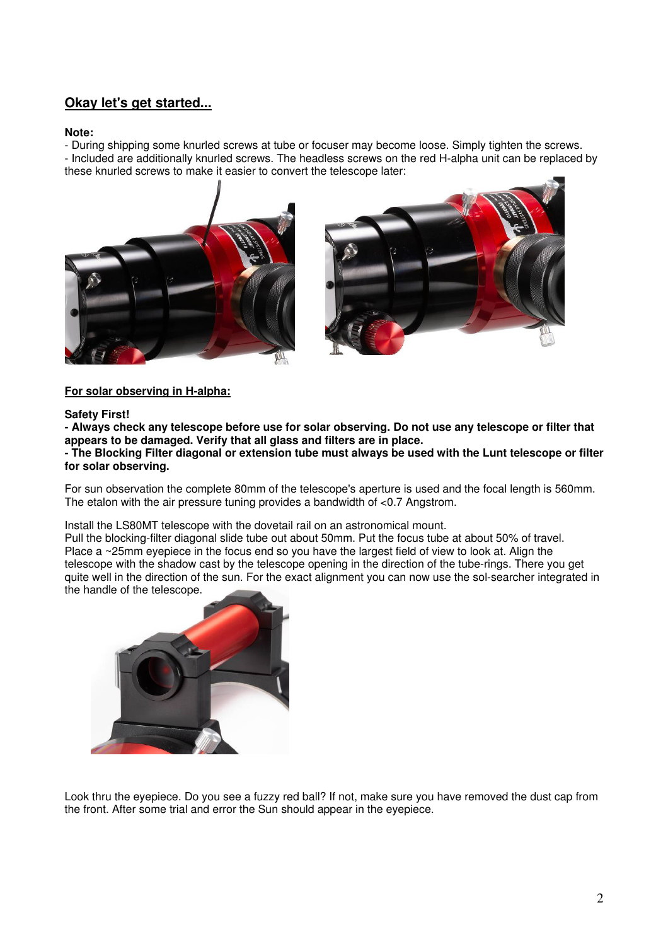# **Okay let's get started...**

#### **Note:**

- During shipping some knurled screws at tube or focuser may become loose. Simply tighten the screws. - Included are additionally knurled screws. The headless screws on the red H-alpha unit can be replaced by these knurled screws to make it easier to convert the telescope later:





### **For solar observing in H-alpha:**

### **Safety First!**

**- Always check any telescope before use for solar observing. Do not use any telescope or filter that appears to be damaged. Verify that all glass and filters are in place.** 

### **- The Blocking Filter diagonal or extension tube must always be used with the Lunt telescope or filter for solar observing.**

For sun observation the complete 80mm of the telescope's aperture is used and the focal length is 560mm. The etalon with the air pressure tuning provides a bandwidth of <0.7 Angstrom.

Install the LS80MT telescope with the dovetail rail on an astronomical mount.

Pull the blocking-filter diagonal slide tube out about 50mm. Put the focus tube at about 50% of travel. Place a ~25mm eyepiece in the focus end so you have the largest field of view to look at. Align the telescope with the shadow cast by the telescope opening in the direction of the tube-rings. There you get quite well in the direction of the sun. For the exact alignment you can now use the sol-searcher integrated in the handle of the telescope.



Look thru the eyepiece. Do you see a fuzzy red ball? If not, make sure you have removed the dust cap from the front. After some trial and error the Sun should appear in the eyepiece.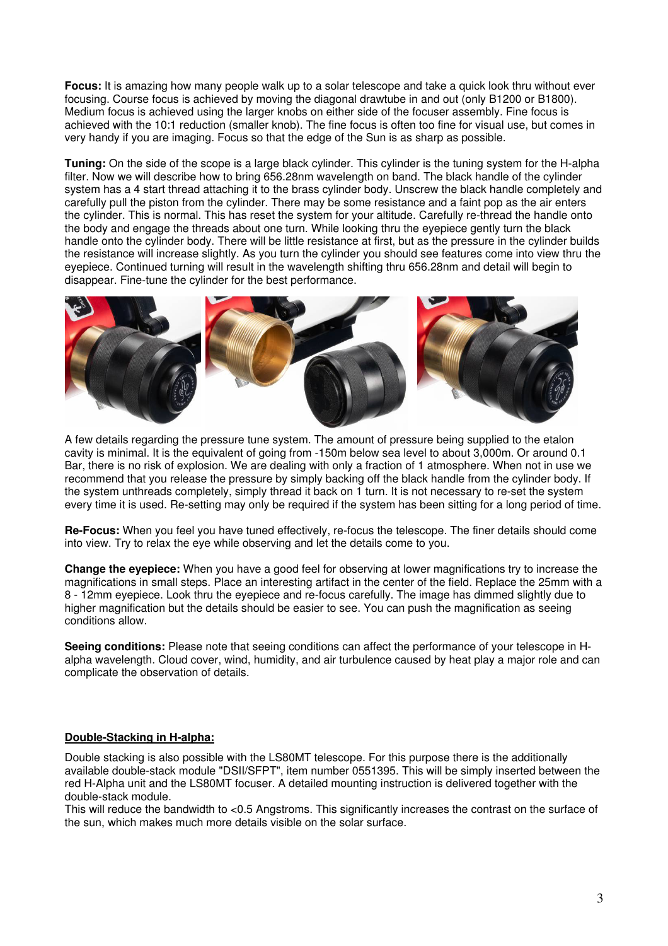**Focus:** It is amazing how many people walk up to a solar telescope and take a quick look thru without ever focusing. Course focus is achieved by moving the diagonal drawtube in and out (only B1200 or B1800). Medium focus is achieved using the larger knobs on either side of the focuser assembly. Fine focus is achieved with the 10:1 reduction (smaller knob). The fine focus is often too fine for visual use, but comes in very handy if you are imaging. Focus so that the edge of the Sun is as sharp as possible.

**Tuning:** On the side of the scope is a large black cylinder. This cylinder is the tuning system for the H-alpha filter. Now we will describe how to bring 656.28nm wavelength on band. The black handle of the cylinder system has a 4 start thread attaching it to the brass cylinder body. Unscrew the black handle completely and carefully pull the piston from the cylinder. There may be some resistance and a faint pop as the air enters the cylinder. This is normal. This has reset the system for your altitude. Carefully re-thread the handle onto the body and engage the threads about one turn. While looking thru the eyepiece gently turn the black handle onto the cylinder body. There will be little resistance at first, but as the pressure in the cylinder builds the resistance will increase slightly. As you turn the cylinder you should see features come into view thru the eyepiece. Continued turning will result in the wavelength shifting thru 656.28nm and detail will begin to disappear. Fine-tune the cylinder for the best performance.



A few details regarding the pressure tune system. The amount of pressure being supplied to the etalon cavity is minimal. It is the equivalent of going from -150m below sea level to about 3,000m. Or around 0.1 Bar, there is no risk of explosion. We are dealing with only a fraction of 1 atmosphere. When not in use we recommend that you release the pressure by simply backing off the black handle from the cylinder body. If the system unthreads completely, simply thread it back on 1 turn. It is not necessary to re-set the system every time it is used. Re-setting may only be required if the system has been sitting for a long period of time.

**Re-Focus:** When you feel you have tuned effectively, re-focus the telescope. The finer details should come into view. Try to relax the eye while observing and let the details come to you.

**Change the eyepiece:** When you have a good feel for observing at lower magnifications try to increase the magnifications in small steps. Place an interesting artifact in the center of the field. Replace the 25mm with a 8 - 12mm eyepiece. Look thru the eyepiece and re-focus carefully. The image has dimmed slightly due to higher magnification but the details should be easier to see. You can push the magnification as seeing conditions allow.

**Seeing conditions:** Please note that seeing conditions can affect the performance of your telescope in Halpha wavelength. Cloud cover, wind, humidity, and air turbulence caused by heat play a major role and can complicate the observation of details.

### **Double-Stacking in H-alpha:**

Double stacking is also possible with the LS80MT telescope. For this purpose there is the additionally available double-stack module "DSII/SFPT", item number 0551395. This will be simply inserted between the red H-Alpha unit and the LS80MT focuser. A detailed mounting instruction is delivered together with the double-stack module.

This will reduce the bandwidth to <0.5 Angstroms. This significantly increases the contrast on the surface of the sun, which makes much more details visible on the solar surface.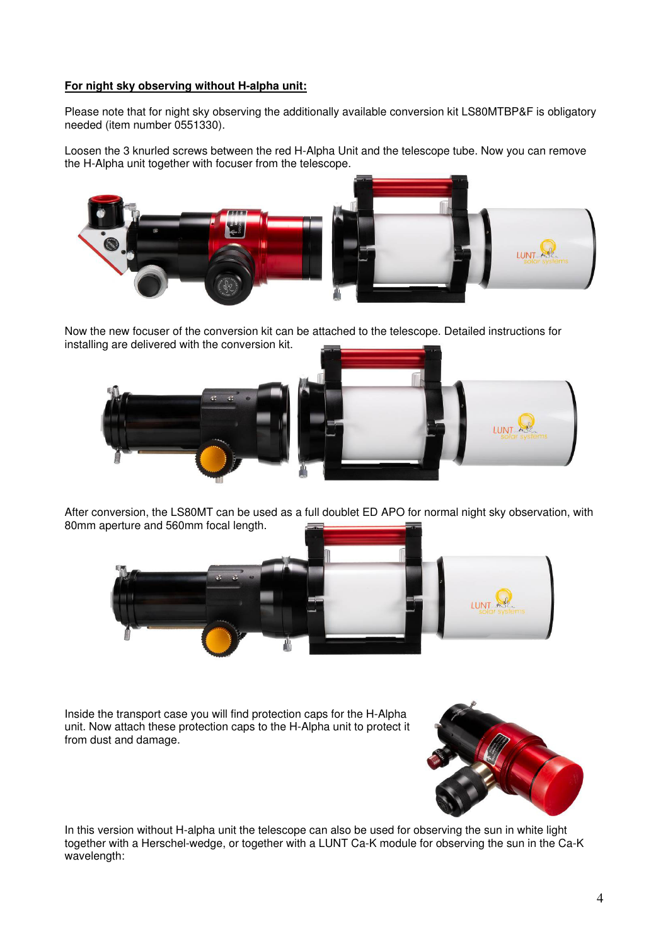### **For night sky observing without H-alpha unit:**

Please note that for night sky observing the additionally available conversion kit LS80MTBP&F is obligatory needed (item number 0551330).

Loosen the 3 knurled screws between the red H-Alpha Unit and the telescope tube. Now you can remove the H-Alpha unit together with focuser from the telescope.





Now the new focuser of the conversion kit can be attached to the telescope. Detailed instructions for installing are delivered with the conversion kit.





After conversion, the LS80MT can be used as a full doublet ED APO for normal night sky observation, with 80mm aperture and 560mm focal length.



Inside the transport case you will find protection caps for the H-Alpha unit. Now attach these protection caps to the H-Alpha unit to protect it from dust and damage.



In this version without H-alpha unit the telescope can also be used for observing the sun in white light together with a Herschel-wedge, or together with a LUNT Ca-K module for observing the sun in the Ca-K wavelength: